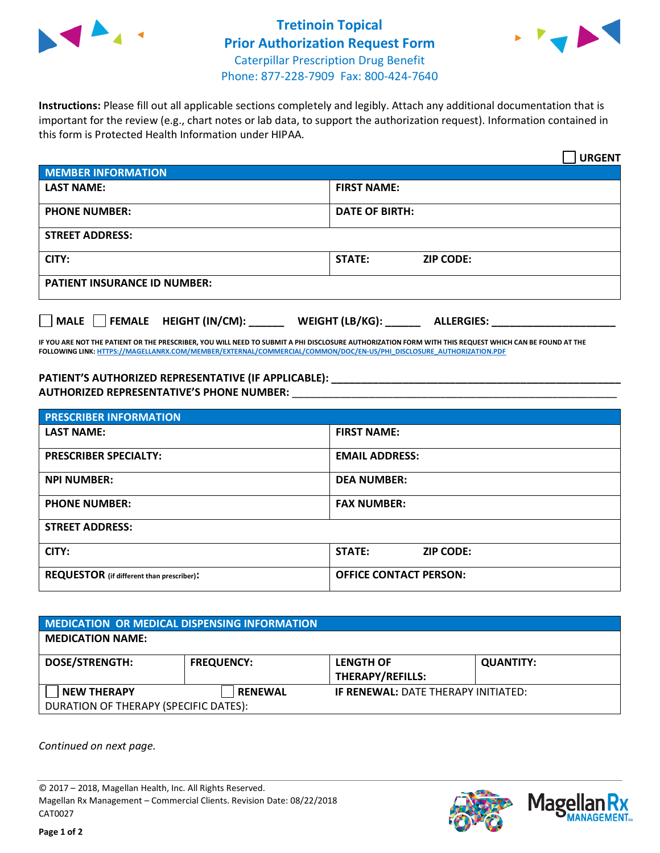

## **Tretinoin Topical Prior Authorization Request Form** Caterpillar Prescription Drug Benefit Phone: 877-228-7909 Fax: 800-424-7640



**Instructions:** Please fill out all applicable sections completely and legibly. Attach any additional documentation that is important for the review (e.g., chart notes or lab data, to support the authorization request). Information contained in this form is Protected Health Information under HIPAA.

|                                       | <b>URGENT</b>                        |  |  |  |
|---------------------------------------|--------------------------------------|--|--|--|
| <b>MEMBER INFORMATION</b>             |                                      |  |  |  |
| <b>LAST NAME:</b>                     | <b>FIRST NAME:</b>                   |  |  |  |
| <b>PHONE NUMBER:</b>                  | <b>DATE OF BIRTH:</b>                |  |  |  |
| <b>STREET ADDRESS:</b>                |                                      |  |  |  |
| CITY:                                 | STATE:<br><b>ZIP CODE:</b>           |  |  |  |
| <b>PATIENT INSURANCE ID NUMBER:</b>   |                                      |  |  |  |
| FEMALE HEIGHT (IN/CM):<br><b>MALE</b> | WEIGHT (LB/KG):<br><b>ALLERGIES:</b> |  |  |  |

**IF YOU ARE NOT THE PATIENT OR THE PRESCRIBER, YOU WILL NEED TO SUBMIT A PHI DISCLOSURE AUTHORIZATION FORM WITH THIS REQUEST WHICH CAN BE FOUND AT THE FOLLOWING LINK[: HTTPS://MAGELLANRX.COM/MEMBER/EXTERNAL/COMMERCIAL/COMMON/DOC/EN-US/PHI\\_DISCLOSURE\\_AUTHORIZATION.PDF](https://magellanrx.com/member/external/commercial/common/doc/en-us/PHI_Disclosure_Authorization.pdf)**

**PATIENT'S AUTHORIZED REPRESENTATIVE (IF APPLICABLE): \_\_\_\_\_\_\_\_\_\_\_\_\_\_\_\_\_\_\_\_\_\_\_\_\_\_\_\_\_\_\_\_\_\_\_\_\_\_\_\_\_\_\_\_\_\_\_\_\_ AUTHORIZED REPRESENTATIVE'S PHONE NUMBER:** \_\_\_\_\_\_\_\_\_\_\_\_\_\_\_\_\_\_\_\_\_\_\_\_\_\_\_\_\_\_\_\_\_\_\_\_\_\_\_\_\_\_\_\_\_\_\_\_\_\_\_\_\_\_\_

| <b>PRESCRIBER INFORMATION</b>             |                               |  |  |
|-------------------------------------------|-------------------------------|--|--|
| <b>LAST NAME:</b>                         | <b>FIRST NAME:</b>            |  |  |
| <b>PRESCRIBER SPECIALTY:</b>              | <b>EMAIL ADDRESS:</b>         |  |  |
| <b>NPI NUMBER:</b>                        | <b>DEA NUMBER:</b>            |  |  |
| <b>PHONE NUMBER:</b>                      | <b>FAX NUMBER:</b>            |  |  |
| <b>STREET ADDRESS:</b>                    |                               |  |  |
| CITY:                                     | STATE:<br><b>ZIP CODE:</b>    |  |  |
| REQUESTOR (if different than prescriber): | <b>OFFICE CONTACT PERSON:</b> |  |  |

| <b>MEDICATION OR MEDICAL DISPENSING INFORMATION</b> |                   |                                            |                  |  |  |
|-----------------------------------------------------|-------------------|--------------------------------------------|------------------|--|--|
| <b>MEDICATION NAME:</b>                             |                   |                                            |                  |  |  |
| <b>DOSE/STRENGTH:</b>                               | <b>FREQUENCY:</b> | <b>LENGTH OF</b>                           | <b>QUANTITY:</b> |  |  |
|                                                     |                   | <b>THERAPY/REFILLS:</b>                    |                  |  |  |
| <b>NEW THERAPY</b>                                  | <b>RENEWAL</b>    | <b>IF RENEWAL: DATE THERAPY INITIATED:</b> |                  |  |  |
| DURATION OF THERAPY (SPECIFIC DATES):               |                   |                                            |                  |  |  |

*Continued on next page.*

© 2017 – 2018, Magellan Health, Inc. All Rights Reserved. Magellan Rx Management – Commercial Clients. Revision Date: 08/22/2018 CAT0027